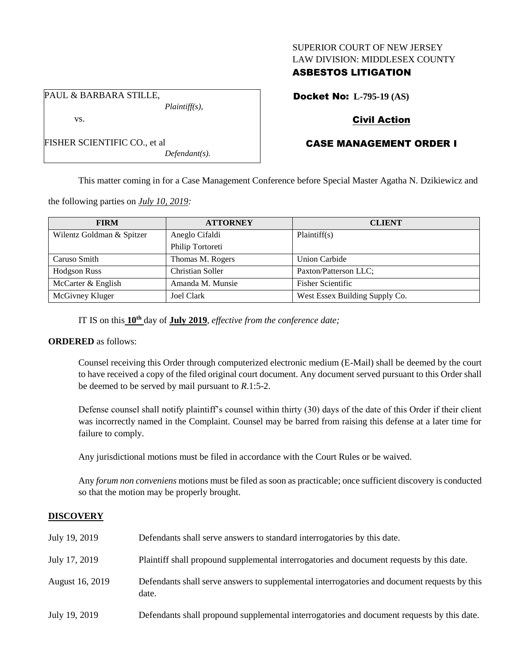## SUPERIOR COURT OF NEW JERSEY LAW DIVISION: MIDDLESEX COUNTY

# ASBESTOS LITIGATION

Docket No: **L-795-19 (AS)**

# Civil Action

# CASE MANAGEMENT ORDER I

This matter coming in for a Case Management Conference before Special Master Agatha N. Dzikiewicz and

the following parties on *July 10, 2019:*

PAUL & BARBARA STILLE,

FISHER SCIENTIFIC CO., et al

vs.

| <b>FIRM</b>               | <b>ATTORNEY</b>  | <b>CLIENT</b>                  |
|---------------------------|------------------|--------------------------------|
| Wilentz Goldman & Spitzer | Aneglo Cifaldi   | Plaintiff(s)                   |
|                           | Philip Tortoreti |                                |
| Caruso Smith              | Thomas M. Rogers | <b>Union Carbide</b>           |
| <b>Hodgson Russ</b>       | Christian Soller | Paxton/Patterson LLC;          |
| McCarter & English        | Amanda M. Munsie | <b>Fisher Scientific</b>       |
| McGivney Kluger           | Joel Clark       | West Essex Building Supply Co. |

IT IS on this **10th** day of **July 2019**, *effective from the conference date;*

*Plaintiff(s),*

*Defendant(s).*

## **ORDERED** as follows:

Counsel receiving this Order through computerized electronic medium (E-Mail) shall be deemed by the court to have received a copy of the filed original court document. Any document served pursuant to this Order shall be deemed to be served by mail pursuant to *R*.1:5-2.

Defense counsel shall notify plaintiff's counsel within thirty (30) days of the date of this Order if their client was incorrectly named in the Complaint. Counsel may be barred from raising this defense at a later time for failure to comply.

Any jurisdictional motions must be filed in accordance with the Court Rules or be waived.

Any *forum non conveniens* motions must be filed as soon as practicable; once sufficient discovery is conducted so that the motion may be properly brought.

## **DISCOVERY**

| July 19, 2019   | Defendants shall serve answers to standard interrogatories by this date.                              |
|-----------------|-------------------------------------------------------------------------------------------------------|
| July 17, 2019   | Plaintiff shall propound supplemental interrogatories and document requests by this date.             |
| August 16, 2019 | Defendants shall serve answers to supplemental interrogatories and document requests by this<br>date. |
| July 19, 2019   | Defendants shall propound supplemental interrogatories and document requests by this date.            |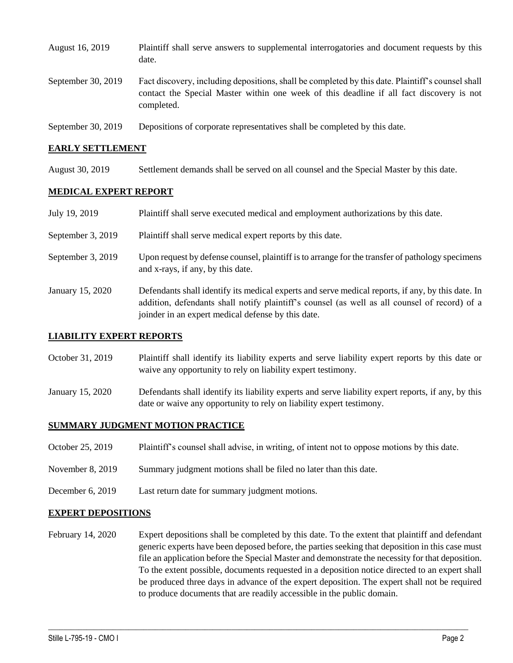| August 16, 2019    | Plaintiff shall serve answers to supplemental interrogatories and document requests by this<br>date.                                                                                                        |
|--------------------|-------------------------------------------------------------------------------------------------------------------------------------------------------------------------------------------------------------|
| September 30, 2019 | Fact discovery, including depositions, shall be completed by this date. Plaintiff's counsel shall<br>contact the Special Master within one week of this deadline if all fact discovery is not<br>completed. |
| September 30, 2019 | Depositions of corporate representatives shall be completed by this date.                                                                                                                                   |

### **EARLY SETTLEMENT**

August 30, 2019 Settlement demands shall be served on all counsel and the Special Master by this date.

#### **MEDICAL EXPERT REPORT**

| July 19, 2019     | Plaintiff shall serve executed medical and employment authorizations by this date.                                                                                                                                                                       |
|-------------------|----------------------------------------------------------------------------------------------------------------------------------------------------------------------------------------------------------------------------------------------------------|
| September 3, 2019 | Plaintiff shall serve medical expert reports by this date.                                                                                                                                                                                               |
| September 3, 2019 | Upon request by defense counsel, plaintiff is to arrange for the transfer of pathology specimens<br>and x-rays, if any, by this date.                                                                                                                    |
| January 15, 2020  | Defendants shall identify its medical experts and serve medical reports, if any, by this date. In<br>addition, defendants shall notify plaintiff's counsel (as well as all counsel of record) of a<br>joinder in an expert medical defense by this date. |

#### **LIABILITY EXPERT REPORTS**

- October 31, 2019 Plaintiff shall identify its liability experts and serve liability expert reports by this date or waive any opportunity to rely on liability expert testimony.
- January 15, 2020 Defendants shall identify its liability experts and serve liability expert reports, if any, by this date or waive any opportunity to rely on liability expert testimony.

#### **SUMMARY JUDGMENT MOTION PRACTICE**

- October 25, 2019 Plaintiff's counsel shall advise, in writing, of intent not to oppose motions by this date.
- November 8, 2019 Summary judgment motions shall be filed no later than this date.
- December 6, 2019 Last return date for summary judgment motions.

#### **EXPERT DEPOSITIONS**

February 14, 2020 Expert depositions shall be completed by this date. To the extent that plaintiff and defendant generic experts have been deposed before, the parties seeking that deposition in this case must file an application before the Special Master and demonstrate the necessity for that deposition. To the extent possible, documents requested in a deposition notice directed to an expert shall be produced three days in advance of the expert deposition. The expert shall not be required to produce documents that are readily accessible in the public domain.

 $\_$  , and the set of the set of the set of the set of the set of the set of the set of the set of the set of the set of the set of the set of the set of the set of the set of the set of the set of the set of the set of th